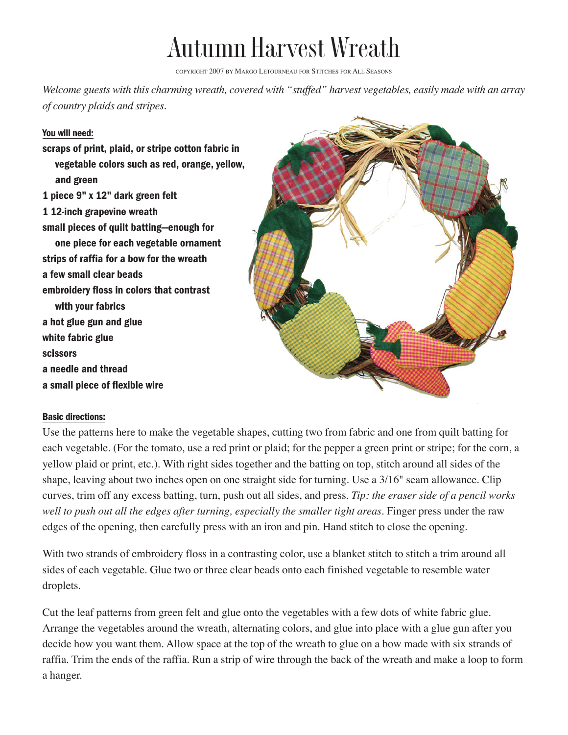## Autumn Harvest Wreath

COPYRIGHT 2007 BY MARGO LETOURNEAU FOR STITCHES FOR ALL SEASONS

*Welcome guests with this charming wreath, covered with "stuffed" harvest vegetables, easily made with an array of country plaids and stripes.*

## You will need:

scraps of print, plaid, or stripe cotton fabric in vegetable colors such as red, orange, yellow, and green 1 piece 9" x 12" dark green felt 1 12-inch grapevine wreath small pieces of quilt batting—enough for one piece for each vegetable ornament strips of raffia for a bow for the wreath a few small clear beads embroidery floss in colors that contrast with your fabrics a hot glue gun and glue white fabric glue scissors a needle and thread a small piece of flexible wire



## Basic directions:

Use the patterns here to make the vegetable shapes, cutting two from fabric and one from quilt batting for each vegetable. (For the tomato, use a red print or plaid; for the pepper a green print or stripe; for the corn, a yellow plaid or print, etc.). With right sides together and the batting on top, stitch around all sides of the shape, leaving about two inches open on one straight side for turning. Use a 3/16" seam allowance. Clip curves, trim off any excess batting, turn, push out all sides, and press. *Tip: the eraser side of a pencil works well to push out all the edges after turning, especially the smaller tight areas.* Finger press under the raw edges of the opening, then carefully press with an iron and pin. Hand stitch to close the opening.

With two strands of embroidery floss in a contrasting color, use a blanket stitch to stitch a trim around all sides of each vegetable. Glue two or three clear beads onto each finished vegetable to resemble water droplets.

Cut the leaf patterns from green felt and glue onto the vegetables with a few dots of white fabric glue. Arrange the vegetables around the wreath, alternating colors, and glue into place with a glue gun after you decide how you want them. Allow space at the top of the wreath to glue on a bow made with six strands of raffia. Trim the ends of the raffia. Run a strip of wire through the back of the wreath and make a loop to form a hanger.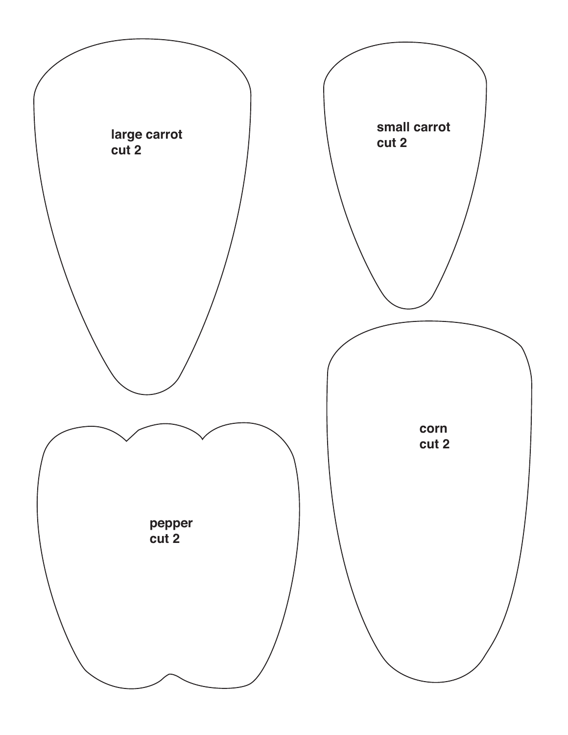